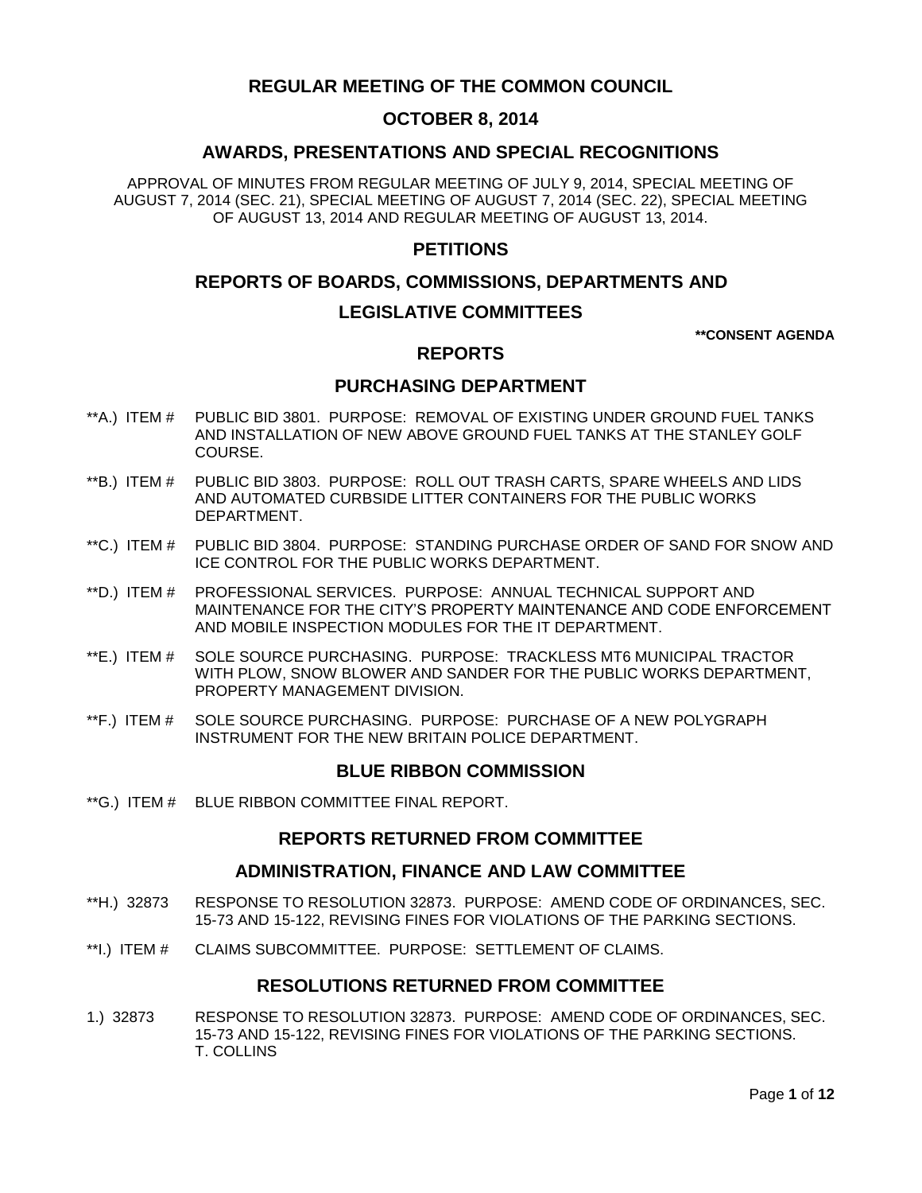# **REGULAR MEETING OF THE COMMON COUNCIL**

## **OCTOBER 8, 2014**

# **AWARDS, PRESENTATIONS AND SPECIAL RECOGNITIONS**

APPROVAL OF MINUTES FROM REGULAR MEETING OF JULY 9, 2014, SPECIAL MEETING OF AUGUST 7, 2014 (SEC. 21), SPECIAL MEETING OF AUGUST 7, 2014 (SEC. 22), SPECIAL MEETING OF AUGUST 13, 2014 AND REGULAR MEETING OF AUGUST 13, 2014.

## **PETITIONS**

## **REPORTS OF BOARDS, COMMISSIONS, DEPARTMENTS AND**

## **LEGISLATIVE COMMITTEES**

**\*\*CONSENT AGENDA**

## **REPORTS**

## **PURCHASING DEPARTMENT**

- \*\*A.) ITEM # [PUBLIC BID 3801. PURPOSE: REMOVAL OF EXISTING UNDER GROUND FUEL TANKS](#page-2-0)  [AND INSTALLATION OF NEW ABOVE GROUND FUEL TANKS AT THE STANLEY GOLF](#page-2-0)  [COURSE.](#page-2-0)
- \*\*B.) ITEM # [PUBLIC BID 3803. PURPOSE: ROLL OUT TRASH CARTS, SPARE WHEELS AND LIDS](#page-3-0)  [AND AUTOMATED CURBSIDE LITTER CONTAINERS FOR THE PUBLIC WORKS](#page-3-0)  [DEPARTMENT.](#page-3-0)
- \*\*C.) ITEM # [PUBLIC BID 3804. PURPOSE: STANDING PURCHASE ORDER OF SAND FOR SNOW AND](#page-3-1)  [ICE CONTROL FOR THE PUBLIC WORKS DEPARTMENT.](#page-3-1)
- \*\*D.) ITEM # [PROFESSIONAL SERVICES. PURPOSE: ANNUAL TECHNICAL SUPPORT AND](#page-4-0)  [MAINTENANCE FOR THE CITY'S PROPERTY MAINTENANCE AND CODE ENFORCEMENT](#page-4-0)  [AND MOBILE INSPECTION MODULES FOR THE IT DEPARTMENT.](#page-4-0)
- \*\*E.) ITEM # [SOLE SOURCE PURCHASING. PURPOSE: TRACKLESS MT6 MUNICIPAL TRACTOR](#page-5-0)  [WITH PLOW, SNOW BLOWER AND SANDER FOR THE PUBLIC WORKS DEPARTMENT,](#page-5-0)  [PROPERTY MANAGEMENT DIVISION.](#page-5-0)
- \*\*F.) ITEM # [SOLE SOURCE PURCHASING. PURPOSE: PURCHASE OF A NEW POLYGRAPH](#page-5-1)  [INSTRUMENT FOR THE NEW BRITAIN POLICE DEPARTMENT.](#page-5-1)

## **BLUE RIBBON COMMISSION**

\*\*G.) ITEM # [BLUE RIBBON COMMITTEE](#page-6-0) FINAL REPORT.

## **REPORTS RETURNED FROM COMMITTEE**

### **ADMINISTRATION, FINANCE AND LAW COMMITTEE**

- \*\*H.) 32873 [RESPONSE TO RESOLUTION 32873. PURPOSE: AMEND CODE OF ORDINANCES, SEC.](#page-6-1)  [15-73 AND 15-122, REVISING FINES FOR VIOLATIONS OF THE PARKING SECTIONS.](#page-6-1)
- \*\*I.) ITEM # [CLAIMS SUBCOMMITTEE. PURPOSE: SETTLEMENT OF CLAIMS.](#page-7-0)

## **RESOLUTIONS RETURNED FROM COMMITTEE**

1.) 32873 [RESPONSE TO RESOLUTION 32873. PURPOSE: AMEND CODE OF ORDINANCES, SEC.](#page-7-1)  [15-73 AND 15-122, REVISING FINES FOR VIOLATIONS OF THE PARKING SECTIONS.](#page-7-1)  [T. COLLINS](#page-7-1)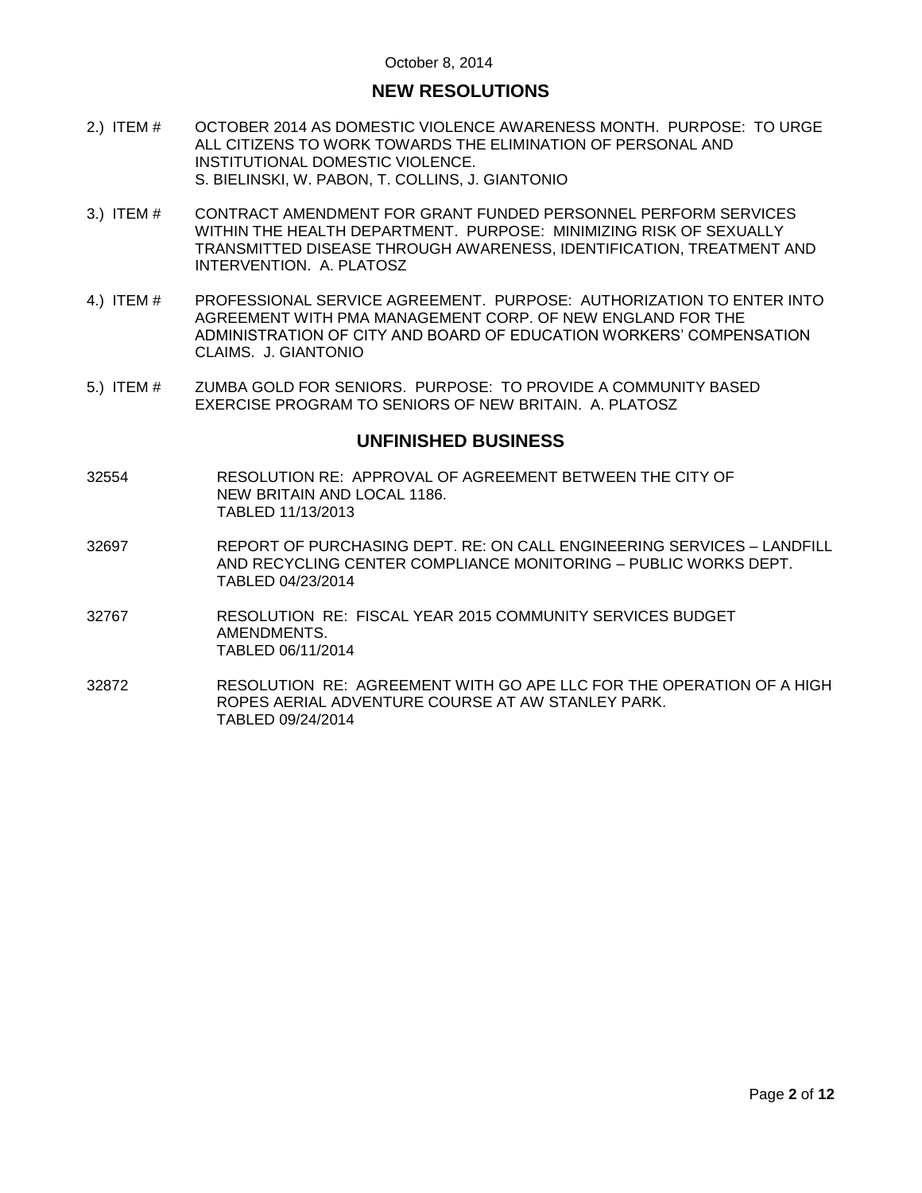# **NEW RESOLUTIONS**

- 2.) ITEM # [OCTOBER 2014 AS DOMESTIC VIOLENCE AWARENESS MONTH. PURPOSE: TO URGE](#page-8-0)  [ALL CITIZENS TO WORK TOWARDS THE ELIMINATION OF PERSONAL AND](#page-8-0)  [INSTITUTIONAL DOMESTIC VIOLENCE.](#page-8-0) [S. BIELINSKI, W. PABON, T. COLLINS, J. GIANTONIO](#page-8-0)
- 3.) ITEM # [CONTRACT AMENDMENT FOR GRANT FUNDED PERSONNEL PERFORM SERVICES](#page-9-0)  [WITHIN THE HEALTH DEPARTMENT. PURPOSE: MINIMIZING RISK OF SEXUALLY](#page-9-0)  [TRANSMITTED DISEASE THROUGH AWARENESS, IDENTIFICATION, TREATMENT AND](#page-9-0)  [INTERVENTION. A. PLATOSZ](#page-9-0)
- 4.) ITEM # [PROFESSIONAL SERVICE AGREEMENT. PURPOSE: AUTHORIZATION TO ENTER INTO](#page-10-0)  [AGREEMENT WITH PMA MANAGEMENT CORP. OF NEW ENGLAND FOR THE](#page-10-0)  [ADMINISTRATION OF CITY AND BOARD OF EDUCATION WORKERS' COMPENSATION](#page-10-0)  [CLAIMS. J. GIANTONIO](#page-10-0)
- 5.) ITEM # [ZUMBA GOLD FOR SENIORS. PURPOSE: TO PROVIDE A COMMUNITY BASED](#page-10-1)  [EXERCISE PROGRAM TO SENIORS OF NEW BRITAIN. A. PLATOSZ](#page-10-1)

### **UNFINISHED BUSINESS**

- 32554 RESOLUTION RE: APPROVAL OF AGREEMENT BETWEEN THE CITY OF NEW BRITAIN AND LOCAL 1186. TABLED 11/13/2013
- 32697 REPORT OF PURCHASING DEPT. RE: ON CALL ENGINEERING SERVICES LANDFILL AND RECYCLING CENTER COMPLIANCE MONITORING – PUBLIC WORKS DEPT. TABLED 04/23/2014
- 32767 RESOLUTION RE: FISCAL YEAR 2015 COMMUNITY SERVICES BUDGET AMENDMENTS. TABLED 06/11/2014
- 32872 RESOLUTION RE: AGREEMENT WITH GO APE LLC FOR THE OPERATION OF A HIGH ROPES AERIAL ADVENTURE COURSE AT AW STANLEY PARK. TABLED 09/24/2014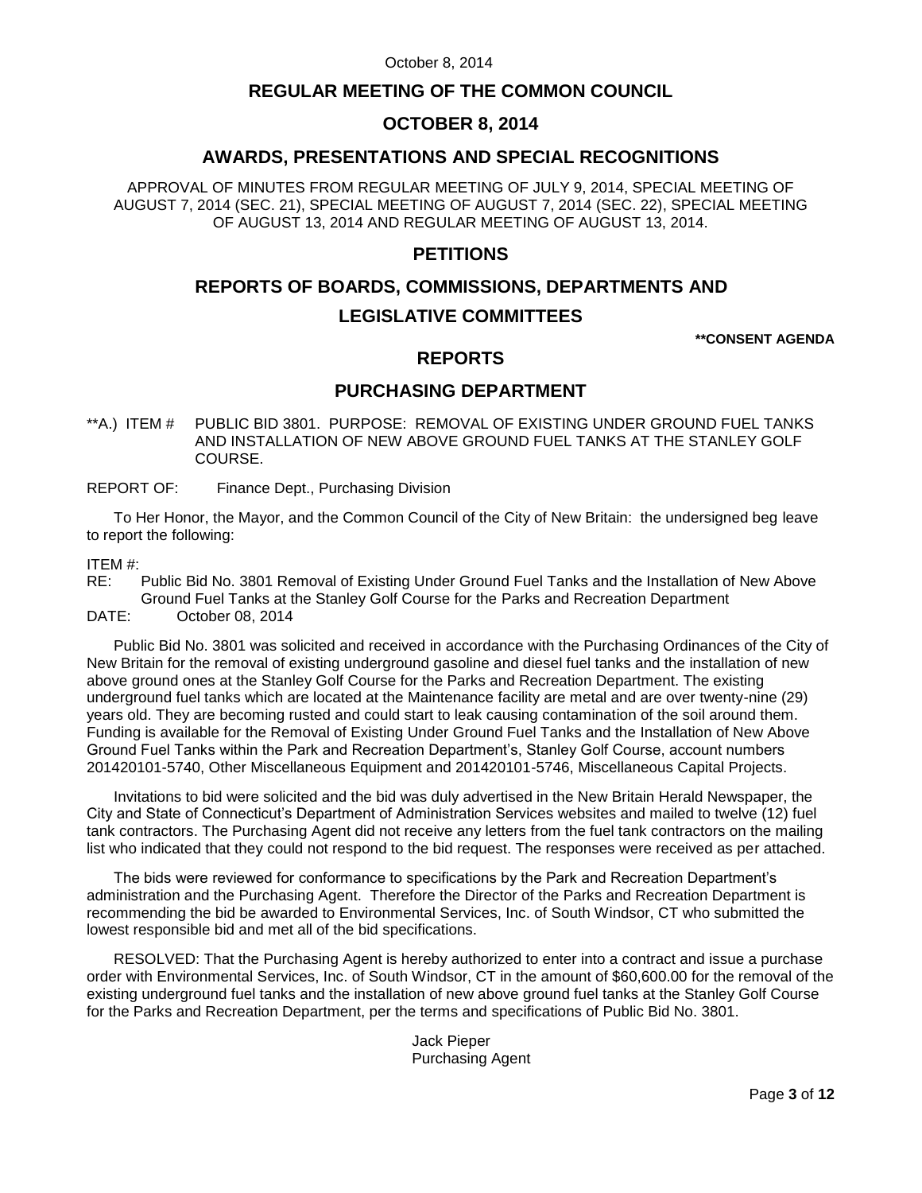## **REGULAR MEETING OF THE COMMON COUNCIL**

## **OCTOBER 8, 2014**

## **AWARDS, PRESENTATIONS AND SPECIAL RECOGNITIONS**

APPROVAL OF MINUTES FROM REGULAR MEETING OF JULY 9, 2014, SPECIAL MEETING OF AUGUST 7, 2014 (SEC. 21), SPECIAL MEETING OF AUGUST 7, 2014 (SEC. 22), SPECIAL MEETING OF AUGUST 13, 2014 AND REGULAR MEETING OF AUGUST 13, 2014.

## **PETITIONS**

## **REPORTS OF BOARDS, COMMISSIONS, DEPARTMENTS AND**

# **LEGISLATIVE COMMITTEES**

**\*\*CONSENT AGENDA**

# **REPORTS**

# **PURCHASING DEPARTMENT**

- <span id="page-2-0"></span>\*\*A.) ITEM # PUBLIC BID 3801. PURPOSE: REMOVAL OF EXISTING UNDER GROUND FUEL TANKS AND INSTALLATION OF NEW ABOVE GROUND FUEL TANKS AT THE STANLEY GOLF COURSE.
- REPORT OF: Finance Dept., Purchasing Division

To Her Honor, the Mayor, and the Common Council of the City of New Britain: the undersigned beg leave to report the following:

### ITEM #:

RE: Public Bid No. 3801 Removal of Existing Under Ground Fuel Tanks and the Installation of New Above Ground Fuel Tanks at the Stanley Golf Course for the Parks and Recreation Department

DATE: October 08, 2014

Public Bid No. 3801 was solicited and received in accordance with the Purchasing Ordinances of the City of New Britain for the removal of existing underground gasoline and diesel fuel tanks and the installation of new above ground ones at the Stanley Golf Course for the Parks and Recreation Department. The existing underground fuel tanks which are located at the Maintenance facility are metal and are over twenty-nine (29) years old. They are becoming rusted and could start to leak causing contamination of the soil around them. Funding is available for the Removal of Existing Under Ground Fuel Tanks and the Installation of New Above Ground Fuel Tanks within the Park and Recreation Department's, Stanley Golf Course, account numbers 201420101-5740, Other Miscellaneous Equipment and 201420101-5746, Miscellaneous Capital Projects.

Invitations to bid were solicited and the bid was duly advertised in the New Britain Herald Newspaper, the City and State of Connecticut's Department of Administration Services websites and mailed to twelve (12) fuel tank contractors. The Purchasing Agent did not receive any letters from the fuel tank contractors on the mailing list who indicated that they could not respond to the bid request. The responses were received as per attached.

The bids were reviewed for conformance to specifications by the Park and Recreation Department's administration and the Purchasing Agent. Therefore the Director of the Parks and Recreation Department is recommending the bid be awarded to Environmental Services, Inc. of South Windsor, CT who submitted the lowest responsible bid and met all of the bid specifications.

RESOLVED: That the Purchasing Agent is hereby authorized to enter into a contract and issue a purchase order with Environmental Services, Inc. of South Windsor, CT in the amount of \$60,600.00 for the removal of the existing underground fuel tanks and the installation of new above ground fuel tanks at the Stanley Golf Course for the Parks and Recreation Department, per the terms and specifications of Public Bid No. 3801.

> Jack Pieper Purchasing Agent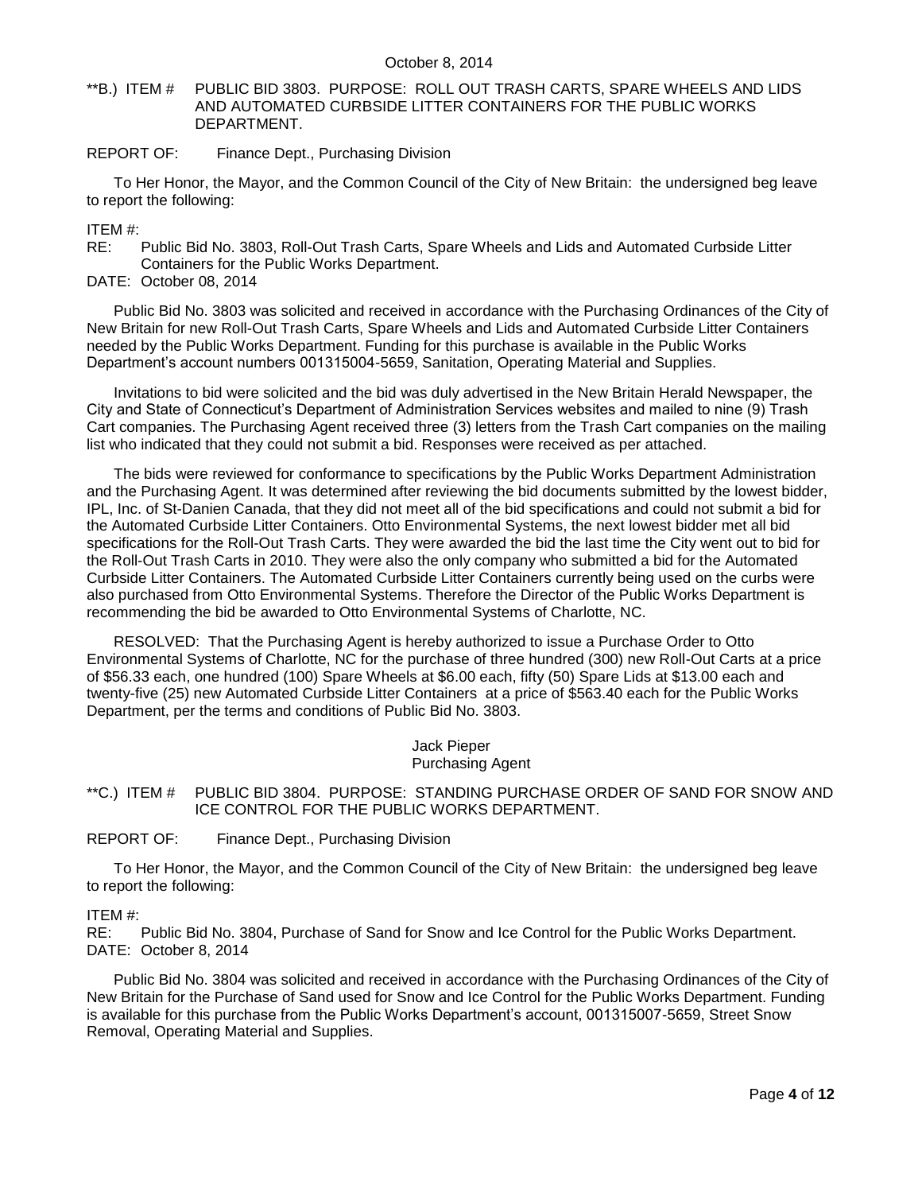<span id="page-3-0"></span>\*\*B.) ITEM # PUBLIC BID 3803. PURPOSE: ROLL OUT TRASH CARTS, SPARE WHEELS AND LIDS AND AUTOMATED CURBSIDE LITTER CONTAINERS FOR THE PUBLIC WORKS DEPARTMENT.

### REPORT OF: Finance Dept., Purchasing Division

To Her Honor, the Mayor, and the Common Council of the City of New Britain: the undersigned beg leave to report the following:

ITEM #:

RE: Public Bid No. 3803, Roll-Out Trash Carts, Spare Wheels and Lids and Automated Curbside Litter Containers for the Public Works Department.

DATE: October 08, 2014

Public Bid No. 3803 was solicited and received in accordance with the Purchasing Ordinances of the City of New Britain for new Roll-Out Trash Carts, Spare Wheels and Lids and Automated Curbside Litter Containers needed by the Public Works Department. Funding for this purchase is available in the Public Works Department's account numbers 001315004-5659, Sanitation, Operating Material and Supplies.

Invitations to bid were solicited and the bid was duly advertised in the New Britain Herald Newspaper, the City and State of Connecticut's Department of Administration Services websites and mailed to nine (9) Trash Cart companies. The Purchasing Agent received three (3) letters from the Trash Cart companies on the mailing list who indicated that they could not submit a bid. Responses were received as per attached.

The bids were reviewed for conformance to specifications by the Public Works Department Administration and the Purchasing Agent. It was determined after reviewing the bid documents submitted by the lowest bidder, IPL, Inc. of St-Danien Canada, that they did not meet all of the bid specifications and could not submit a bid for the Automated Curbside Litter Containers. Otto Environmental Systems, the next lowest bidder met all bid specifications for the Roll-Out Trash Carts. They were awarded the bid the last time the City went out to bid for the Roll-Out Trash Carts in 2010. They were also the only company who submitted a bid for the Automated Curbside Litter Containers. The Automated Curbside Litter Containers currently being used on the curbs were also purchased from Otto Environmental Systems. Therefore the Director of the Public Works Department is recommending the bid be awarded to Otto Environmental Systems of Charlotte, NC.

RESOLVED: That the Purchasing Agent is hereby authorized to issue a Purchase Order to Otto Environmental Systems of Charlotte, NC for the purchase of three hundred (300) new Roll-Out Carts at a price of \$56.33 each, one hundred (100) Spare Wheels at \$6.00 each, fifty (50) Spare Lids at \$13.00 each and twenty-five (25) new Automated Curbside Litter Containers at a price of \$563.40 each for the Public Works Department, per the terms and conditions of Public Bid No. 3803.

> Jack Pieper Purchasing Agent

<span id="page-3-1"></span>\*\*C.) ITEM # PUBLIC BID 3804. PURPOSE: STANDING PURCHASE ORDER OF SAND FOR SNOW AND ICE CONTROL FOR THE PUBLIC WORKS DEPARTMENT.

#### REPORT OF: Finance Dept., Purchasing Division

To Her Honor, the Mayor, and the Common Council of the City of New Britain: the undersigned beg leave to report the following:

#### ITEM #:

RE: Public Bid No. 3804, Purchase of Sand for Snow and Ice Control for the Public Works Department. DATE: October 8, 2014

Public Bid No. 3804 was solicited and received in accordance with the Purchasing Ordinances of the City of New Britain for the Purchase of Sand used for Snow and Ice Control for the Public Works Department. Funding is available for this purchase from the Public Works Department's account, 001315007-5659, Street Snow Removal, Operating Material and Supplies.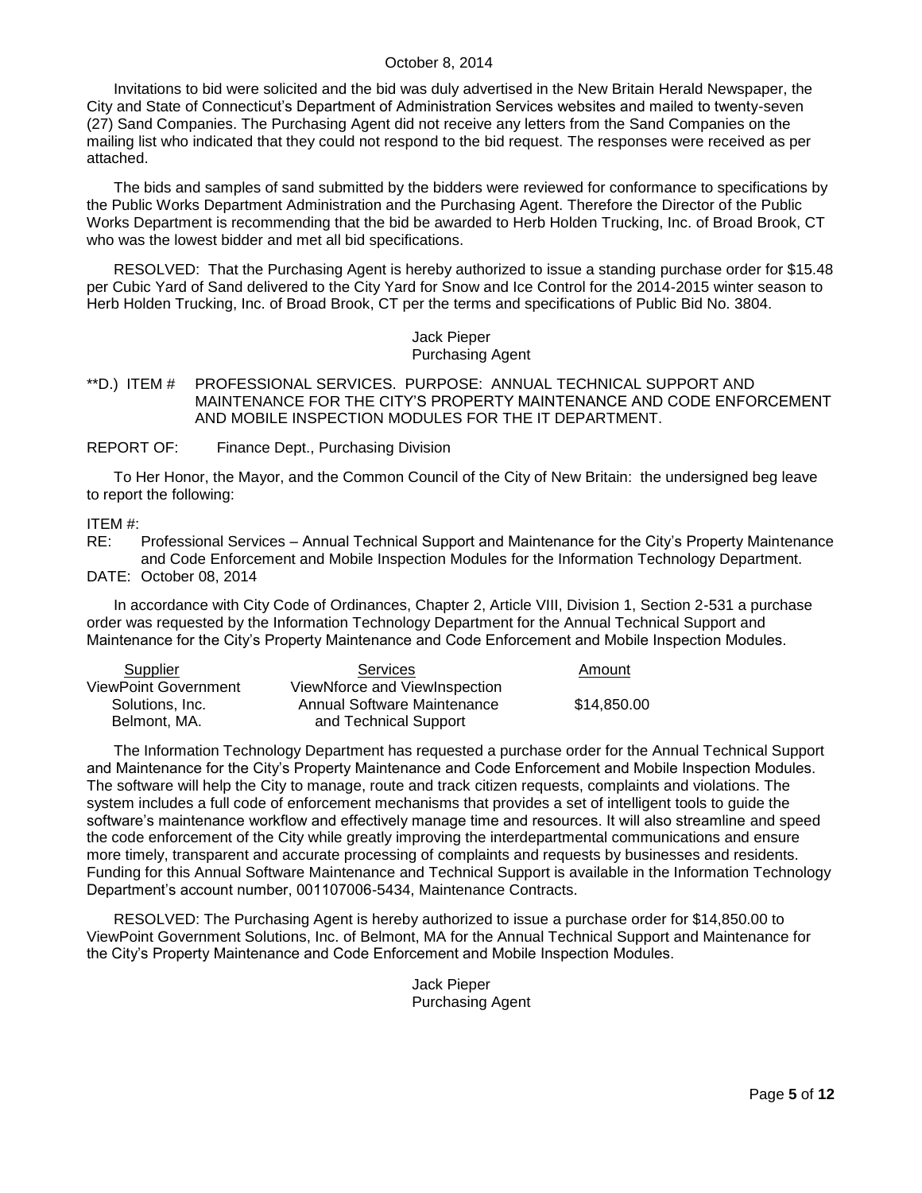Invitations to bid were solicited and the bid was duly advertised in the New Britain Herald Newspaper, the City and State of Connecticut's Department of Administration Services websites and mailed to twenty-seven (27) Sand Companies. The Purchasing Agent did not receive any letters from the Sand Companies on the mailing list who indicated that they could not respond to the bid request. The responses were received as per attached.

The bids and samples of sand submitted by the bidders were reviewed for conformance to specifications by the Public Works Department Administration and the Purchasing Agent. Therefore the Director of the Public Works Department is recommending that the bid be awarded to Herb Holden Trucking, Inc. of Broad Brook, CT who was the lowest bidder and met all bid specifications.

RESOLVED: That the Purchasing Agent is hereby authorized to issue a standing purchase order for \$15.48 per Cubic Yard of Sand delivered to the City Yard for Snow and Ice Control for the 2014-2015 winter season to Herb Holden Trucking, Inc. of Broad Brook, CT per the terms and specifications of Public Bid No. 3804.

#### Jack Pieper Purchasing Agent

### <span id="page-4-0"></span>\*\*D.) ITEM # PROFESSIONAL SERVICES. PURPOSE: ANNUAL TECHNICAL SUPPORT AND MAINTENANCE FOR THE CITY'S PROPERTY MAINTENANCE AND CODE ENFORCEMENT AND MOBILE INSPECTION MODULES FOR THE IT DEPARTMENT.

REPORT OF: Finance Dept., Purchasing Division

To Her Honor, the Mayor, and the Common Council of the City of New Britain: the undersigned beg leave to report the following:

ITEM #:

RE: Professional Services – Annual Technical Support and Maintenance for the City's Property Maintenance and Code Enforcement and Mobile Inspection Modules for the Information Technology Department. DATE: October 08, 2014

In accordance with City Code of Ordinances, Chapter 2, Article VIII, Division 1, Section 2-531 a purchase order was requested by the Information Technology Department for the Annual Technical Support and Maintenance for the City's Property Maintenance and Code Enforcement and Mobile Inspection Modules.

| Supplier                    | <b>Services</b>               | Amount      |
|-----------------------------|-------------------------------|-------------|
| <b>ViewPoint Government</b> | ViewNforce and ViewInspection |             |
| Solutions, Inc.             | Annual Software Maintenance   | \$14,850.00 |
| Belmont, MA.                | and Technical Support         |             |

The Information Technology Department has requested a purchase order for the Annual Technical Support and Maintenance for the City's Property Maintenance and Code Enforcement and Mobile Inspection Modules. The software will help the City to manage, route and track citizen requests, complaints and violations. The system includes a full code of enforcement mechanisms that provides a set of intelligent tools to guide the software's maintenance workflow and effectively manage time and resources. It will also streamline and speed the code enforcement of the City while greatly improving the interdepartmental communications and ensure more timely, transparent and accurate processing of complaints and requests by businesses and residents. Funding for this Annual Software Maintenance and Technical Support is available in the Information Technology Department's account number, 001107006-5434, Maintenance Contracts.

RESOLVED: The Purchasing Agent is hereby authorized to issue a purchase order for \$14,850.00 to ViewPoint Government Solutions, Inc. of Belmont, MA for the Annual Technical Support and Maintenance for the City's Property Maintenance and Code Enforcement and Mobile Inspection Modules.

> Jack Pieper Purchasing Agent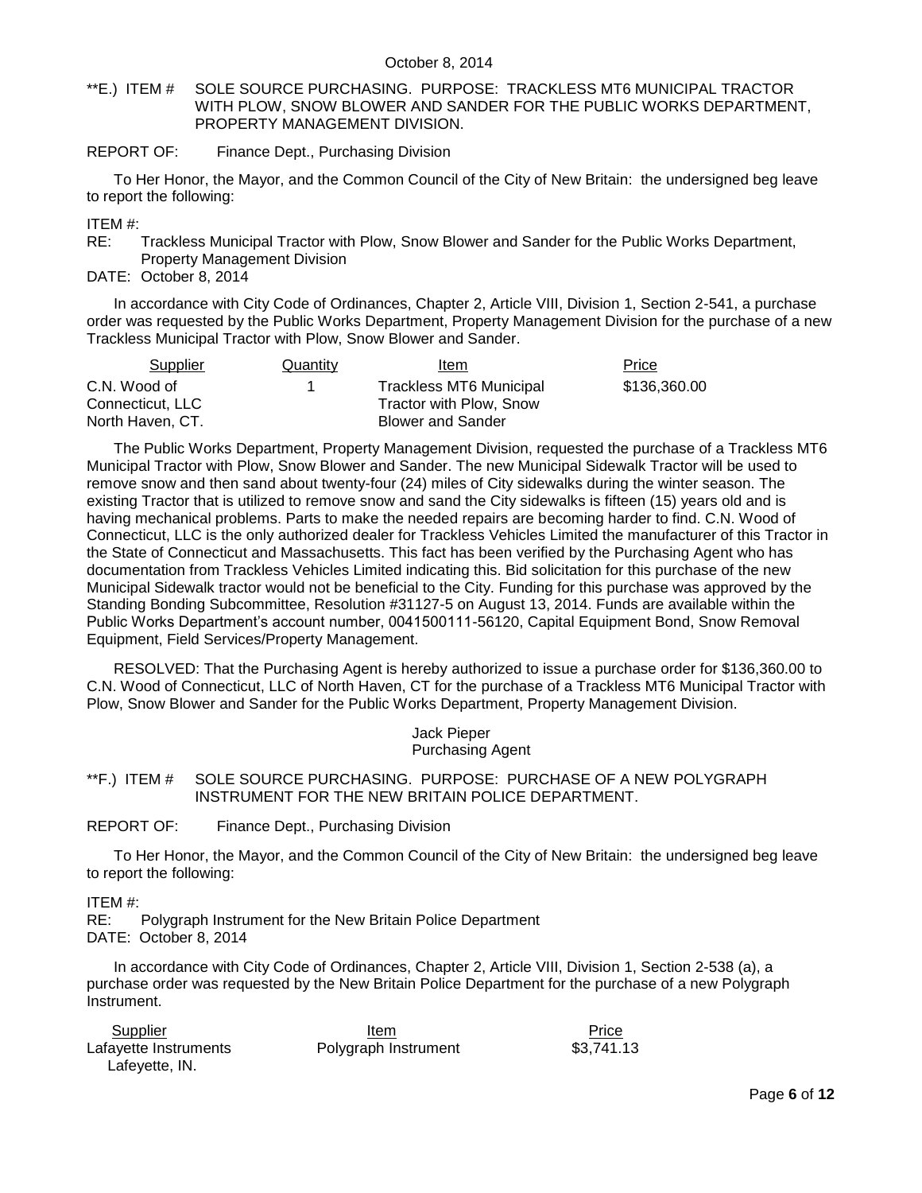### <span id="page-5-0"></span>\*\*E.) ITEM # SOLE SOURCE PURCHASING. PURPOSE: TRACKLESS MT6 MUNICIPAL TRACTOR WITH PLOW, SNOW BLOWER AND SANDER FOR THE PUBLIC WORKS DEPARTMENT, PROPERTY MANAGEMENT DIVISION.

### REPORT OF: Finance Dept., Purchasing Division

To Her Honor, the Mayor, and the Common Council of the City of New Britain: the undersigned beg leave to report the following:

ITEM #:

RE: Trackless Municipal Tractor with Plow, Snow Blower and Sander for the Public Works Department, Property Management Division

DATE: October 8, 2014

In accordance with City Code of Ordinances, Chapter 2, Article VIII, Division 1, Section 2-541, a purchase order was requested by the Public Works Department, Property Management Division for the purchase of a new Trackless Municipal Tractor with Plow, Snow Blower and Sander.

| Supplier          | Quantity | Item                     | <b>Price</b> |
|-------------------|----------|--------------------------|--------------|
| C.N. Wood of      |          | Trackless MT6 Municipal  | \$136,360.00 |
| Connecticut. LLC_ |          | Tractor with Plow, Snow  |              |
| North Haven, CT.  |          | <b>Blower and Sander</b> |              |

The Public Works Department, Property Management Division, requested the purchase of a Trackless MT6 Municipal Tractor with Plow, Snow Blower and Sander. The new Municipal Sidewalk Tractor will be used to remove snow and then sand about twenty-four (24) miles of City sidewalks during the winter season. The existing Tractor that is utilized to remove snow and sand the City sidewalks is fifteen (15) years old and is having mechanical problems. Parts to make the needed repairs are becoming harder to find. C.N. Wood of Connecticut, LLC is the only authorized dealer for Trackless Vehicles Limited the manufacturer of this Tractor in the State of Connecticut and Massachusetts. This fact has been verified by the Purchasing Agent who has documentation from Trackless Vehicles Limited indicating this. Bid solicitation for this purchase of the new Municipal Sidewalk tractor would not be beneficial to the City. Funding for this purchase was approved by the Standing Bonding Subcommittee, Resolution #31127-5 on August 13, 2014. Funds are available within the Public Works Department's account number, 0041500111-56120, Capital Equipment Bond, Snow Removal Equipment, Field Services/Property Management.

RESOLVED: That the Purchasing Agent is hereby authorized to issue a purchase order for \$136,360.00 to C.N. Wood of Connecticut, LLC of North Haven, CT for the purchase of a Trackless MT6 Municipal Tractor with Plow, Snow Blower and Sander for the Public Works Department, Property Management Division.

> Jack Pieper Purchasing Agent

<span id="page-5-1"></span>\*\*F.) ITEM # SOLE SOURCE PURCHASING. PURPOSE: PURCHASE OF A NEW POLYGRAPH INSTRUMENT FOR THE NEW BRITAIN POLICE DEPARTMENT.

REPORT OF: Finance Dept., Purchasing Division

To Her Honor, the Mayor, and the Common Council of the City of New Britain: the undersigned beg leave to report the following:

ITEM #:

RE: Polygraph Instrument for the New Britain Police Department DATE: October 8, 2014

In accordance with City Code of Ordinances, Chapter 2, Article VIII, Division 1, Section 2-538 (a), a purchase order was requested by the New Britain Police Department for the purchase of a new Polygraph Instrument.

| Supplier              | Item                 | Price      |
|-----------------------|----------------------|------------|
| Lafayette Instruments | Polygraph Instrument | \$3,741.13 |
| Lafeyette, IN.        |                      |            |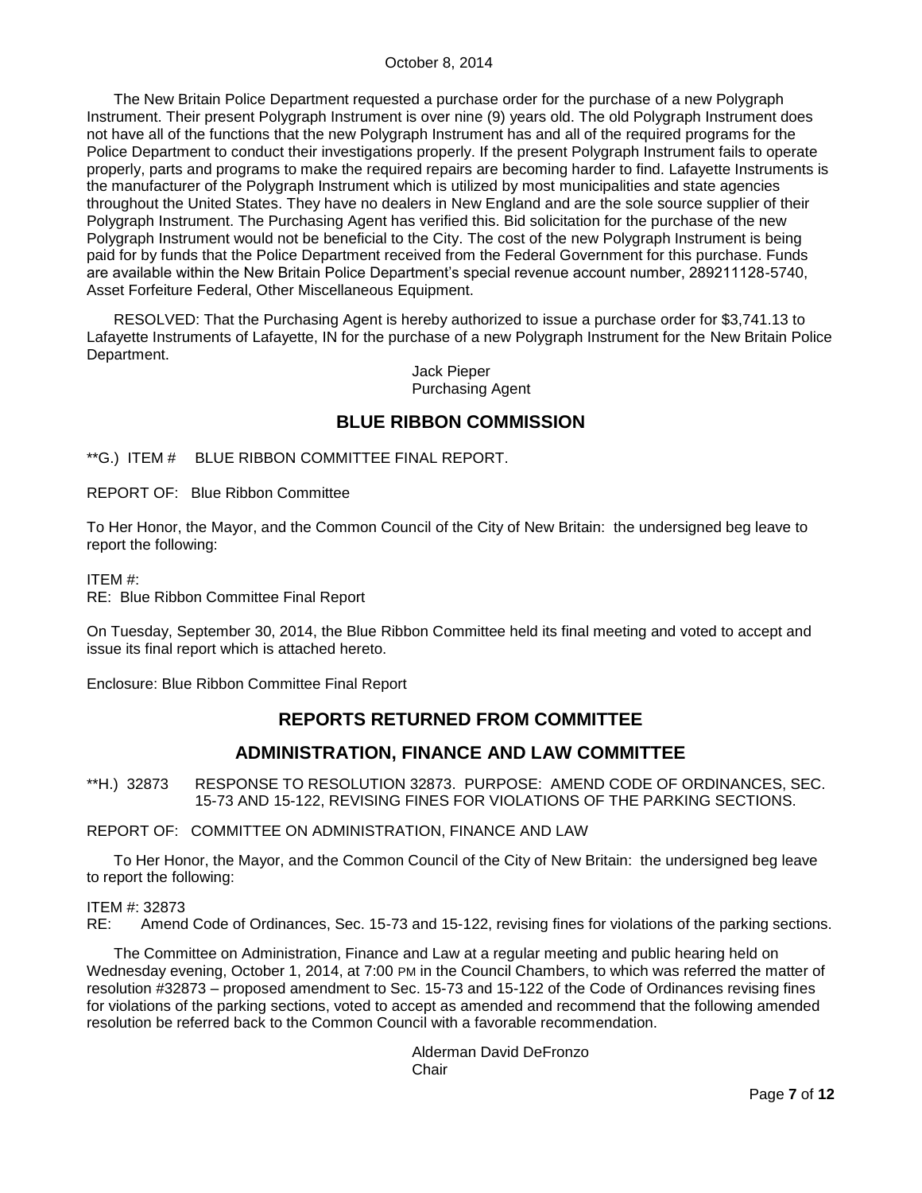The New Britain Police Department requested a purchase order for the purchase of a new Polygraph Instrument. Their present Polygraph Instrument is over nine (9) years old. The old Polygraph Instrument does not have all of the functions that the new Polygraph Instrument has and all of the required programs for the Police Department to conduct their investigations properly. If the present Polygraph Instrument fails to operate properly, parts and programs to make the required repairs are becoming harder to find. Lafayette Instruments is the manufacturer of the Polygraph Instrument which is utilized by most municipalities and state agencies throughout the United States. They have no dealers in New England and are the sole source supplier of their Polygraph Instrument. The Purchasing Agent has verified this. Bid solicitation for the purchase of the new Polygraph Instrument would not be beneficial to the City. The cost of the new Polygraph Instrument is being paid for by funds that the Police Department received from the Federal Government for this purchase. Funds are available within the New Britain Police Department's special revenue account number, 289211128-5740, Asset Forfeiture Federal, Other Miscellaneous Equipment.

RESOLVED: That the Purchasing Agent is hereby authorized to issue a purchase order for \$3,741.13 to Lafayette Instruments of Lafayette, IN for the purchase of a new Polygraph Instrument for the New Britain Police Department.

> Jack Pieper Purchasing Agent

# **BLUE RIBBON COMMISSION**

<span id="page-6-0"></span>\*\*G.) ITEM # BLUE RIBBON COMMITTEE FINAL REPORT.

REPORT OF: Blue Ribbon Committee

To Her Honor, the Mayor, and the Common Council of the City of New Britain: the undersigned beg leave to report the following:

ITEM #:

RE: Blue Ribbon Committee Final Report

On Tuesday, September 30, 2014, the Blue Ribbon Committee held its final meeting and voted to accept and issue its final report which is attached hereto.

Enclosure: Blue Ribbon Committee Final Report

# **REPORTS RETURNED FROM COMMITTEE**

# **ADMINISTRATION, FINANCE AND LAW COMMITTEE**

<span id="page-6-1"></span>\*\*H.) 32873 RESPONSE TO RESOLUTION 32873. PURPOSE: AMEND CODE OF ORDINANCES, SEC. 15-73 AND 15-122, REVISING FINES FOR VIOLATIONS OF THE PARKING SECTIONS.

REPORT OF: COMMITTEE ON ADMINISTRATION, FINANCE AND LAW

To Her Honor, the Mayor, and the Common Council of the City of New Britain: the undersigned beg leave to report the following:

#### ITEM #: 32873

RE: Amend Code of Ordinances, Sec. 15-73 and 15-122, revising fines for violations of the parking sections.

The Committee on Administration, Finance and Law at a regular meeting and public hearing held on Wednesday evening, October 1, 2014, at 7:00 PM in the Council Chambers, to which was referred the matter of resolution #32873 – proposed amendment to Sec. 15-73 and 15-122 of the Code of Ordinances revising fines for violations of the parking sections, voted to accept as amended and recommend that the following amended resolution be referred back to the Common Council with a favorable recommendation.

> Alderman David DeFronzo **Chair**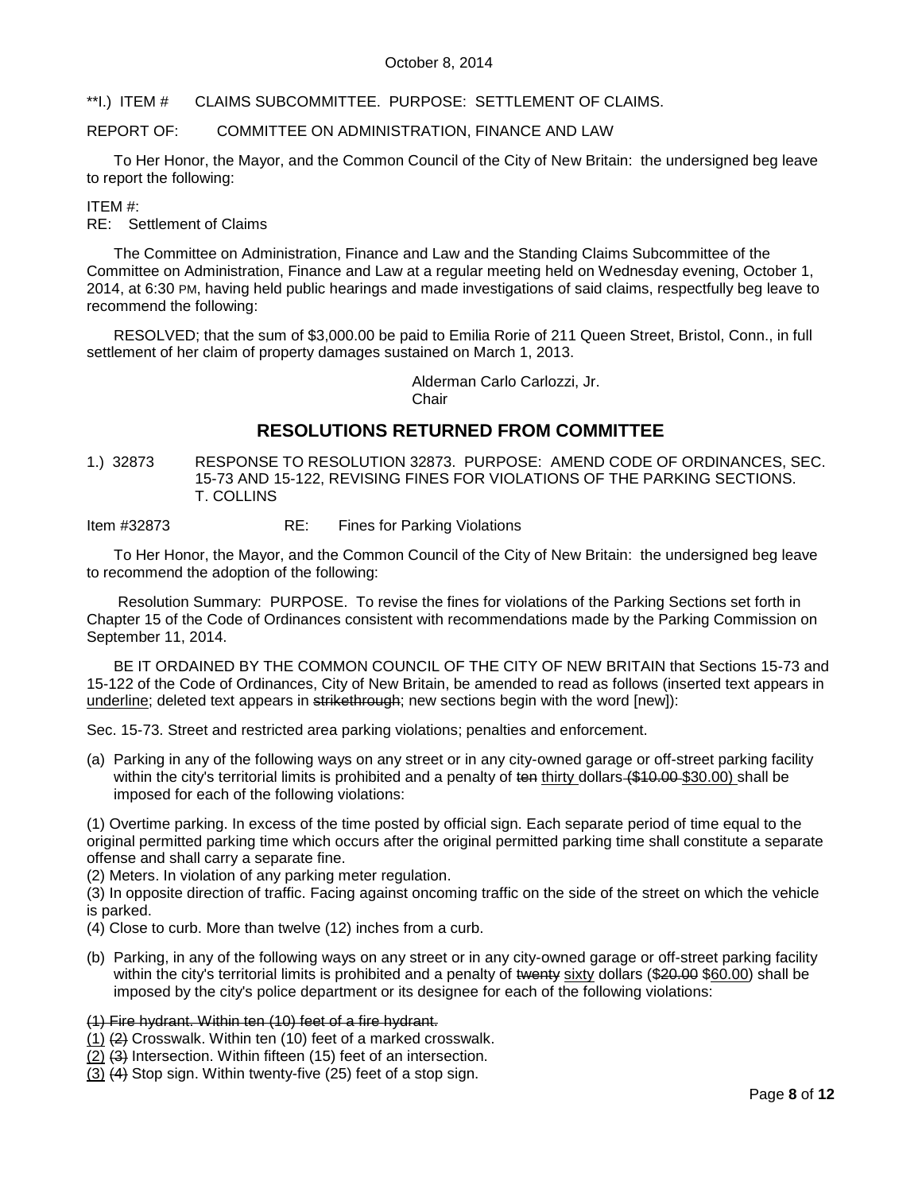<span id="page-7-0"></span>\*\*I.) ITEM # CLAIMS SUBCOMMITTEE. PURPOSE: SETTLEMENT OF CLAIMS.

### REPORT OF: COMMITTEE ON ADMINISTRATION, FINANCE AND LAW

To Her Honor, the Mayor, and the Common Council of the City of New Britain: the undersigned beg leave to report the following:

### ITEM #:

RE: Settlement of Claims

The Committee on Administration, Finance and Law and the Standing Claims Subcommittee of the Committee on Administration, Finance and Law at a regular meeting held on Wednesday evening, October 1, 2014, at 6:30 PM, having held public hearings and made investigations of said claims, respectfully beg leave to recommend the following:

RESOLVED; that the sum of \$3,000.00 be paid to Emilia Rorie of 211 Queen Street, Bristol, Conn., in full settlement of her claim of property damages sustained on March 1, 2013.

> Alderman Carlo Carlozzi, Jr. **Chair**

# **RESOLUTIONS RETURNED FROM COMMITTEE**

<span id="page-7-1"></span>1.) 32873 RESPONSE TO RESOLUTION 32873. PURPOSE: AMEND CODE OF ORDINANCES, SEC. 15-73 AND 15-122, REVISING FINES FOR VIOLATIONS OF THE PARKING SECTIONS. T. COLLINS

Item #32873 RE: Fines for Parking Violations

To Her Honor, the Mayor, and the Common Council of the City of New Britain: the undersigned beg leave to recommend the adoption of the following:

Resolution Summary: PURPOSE. To revise the fines for violations of the Parking Sections set forth in Chapter 15 of the Code of Ordinances consistent with recommendations made by the Parking Commission on September 11, 2014.

BE IT ORDAINED BY THE COMMON COUNCIL OF THE CITY OF NEW BRITAIN that Sections 15-73 and 15-122 of the Code of Ordinances, City of New Britain, be amended to read as follows (inserted text appears in underline; deleted text appears in strikethrough; new sections begin with the word [new]):

Sec. 15-73. Street and restricted area parking violations; penalties and enforcement.

(a) Parking in any of the following ways on any street or in any city-owned garage or off-street parking facility within the city's territorial limits is prohibited and a penalty of ten thirty dollars (\$10.00 \$30.00) shall be imposed for each of the following violations:

(1) Overtime parking. In excess of the time posted by official sign. Each separate period of time equal to the original permitted parking time which occurs after the original permitted parking time shall constitute a separate offense and shall carry a separate fine.

(2) Meters. In violation of any parking meter regulation.

(3) In opposite direction of traffic. Facing against oncoming traffic on the side of the street on which the vehicle is parked.

- (4) Close to curb. More than twelve (12) inches from a curb.
- (b) Parking, in any of the following ways on any street or in any city-owned garage or off-street parking facility within the city's territorial limits is prohibited and a penalty of twenty sixty dollars (\$20.00 \$60.00) shall be imposed by the city's police department or its designee for each of the following violations:

(1) Fire hydrant. Within ten (10) feet of a fire hydrant.

- (1) (2) Crosswalk. Within ten (10) feet of a marked crosswalk.
- (2) (3) Intersection. Within fifteen (15) feet of an intersection.
- (3) (4) Stop sign. Within twenty-five (25) feet of a stop sign.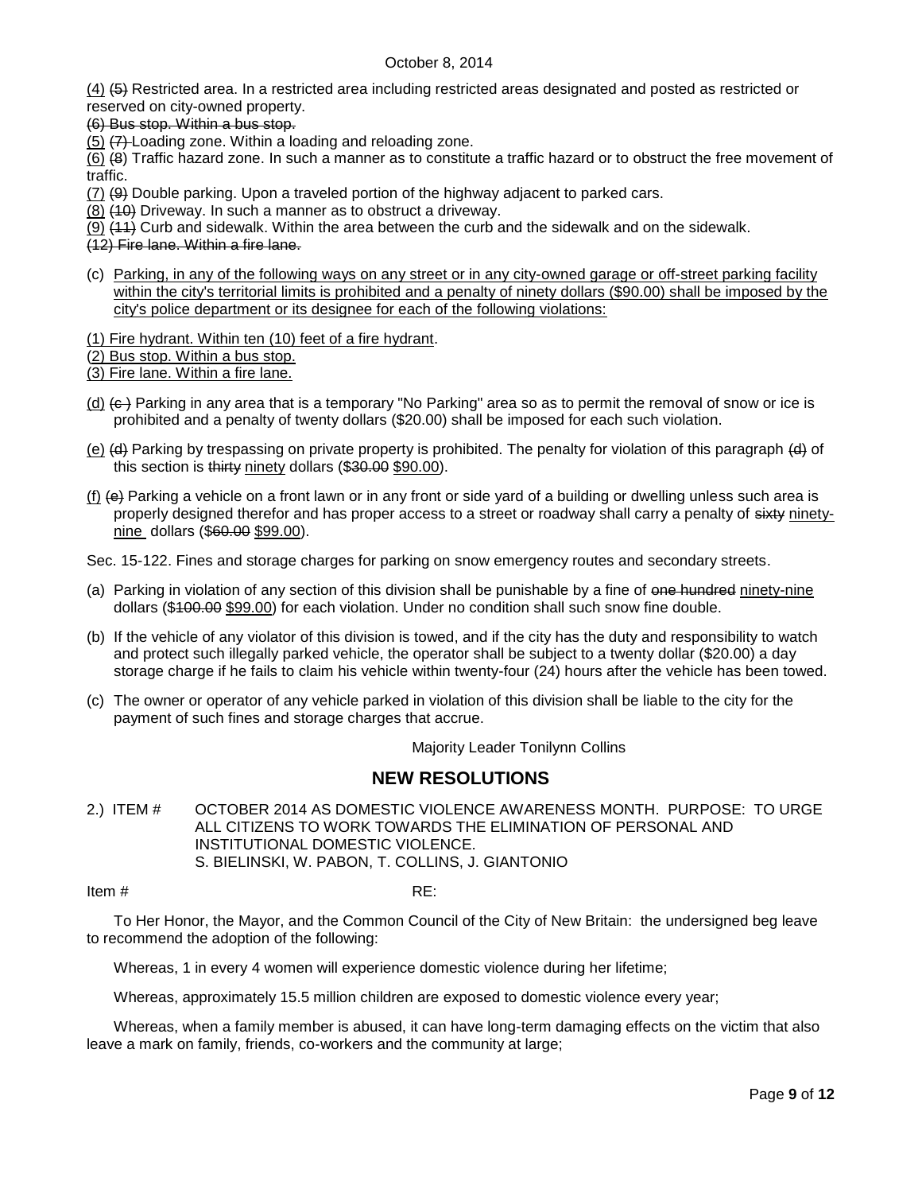(4) (5) Restricted area. In a restricted area including restricted areas designated and posted as restricted or reserved on city-owned property.

(6) Bus stop. Within a bus stop.

(5) (7) Loading zone. Within a loading and reloading zone.

(6) (8) Traffic hazard zone. In such a manner as to constitute a traffic hazard or to obstruct the free movement of traffic.

 $(7)$   $(9)$  Double parking. Upon a traveled portion of the highway adjacent to parked cars.

(8) (10) Driveway. In such a manner as to obstruct a driveway.

(9)  $(11)$  Curb and sidewalk. Within the area between the curb and the sidewalk and on the sidewalk.

(12) Fire lane. Within a fire lane.

- (c) Parking, in any of the following ways on any street or in any city-owned garage or off-street parking facility within the city's territorial limits is prohibited and a penalty of ninety dollars (\$90.00) shall be imposed by the city's police department or its designee for each of the following violations:
- (1) Fire hydrant. Within ten (10) feet of a fire hydrant.
- (2) Bus stop. Within a bus stop.

(3) Fire lane. Within a fire lane.

- $(d)$   $(e)$  Parking in any area that is a temporary "No Parking" area so as to permit the removal of snow or ice is prohibited and a penalty of twenty dollars (\$20.00) shall be imposed for each such violation.
- (e)  $\left(\phi\right)$  Parking by trespassing on private property is prohibited. The penalty for violation of this paragraph  $\left(\phi\right)$  of this section is thirty ninety dollars (\$30.00 \$90.00).
- (f)  $\leftrightarrow$  Parking a vehicle on a front lawn or in any front or side yard of a building or dwelling unless such area is properly designed therefor and has proper access to a street or roadway shall carry a penalty of sixty ninetynine dollars (\$60.00 \$99.00).

Sec. 15-122. Fines and storage charges for parking on snow emergency routes and secondary streets.

- (a) Parking in violation of any section of this division shall be punishable by a fine of one hundred ninety-nine dollars (\$100.00 \$99.00) for each violation. Under no condition shall such snow fine double.
- (b) If the vehicle of any violator of this division is towed, and if the city has the duty and responsibility to watch and protect such illegally parked vehicle, the operator shall be subject to a twenty dollar (\$20.00) a day storage charge if he fails to claim his vehicle within twenty-four (24) hours after the vehicle has been towed.
- (c) The owner or operator of any vehicle parked in violation of this division shall be liable to the city for the payment of such fines and storage charges that accrue.

Majority Leader Tonilynn Collins

# **NEW RESOLUTIONS**

<span id="page-8-0"></span>2.) ITEM # OCTOBER 2014 AS DOMESTIC VIOLENCE AWARENESS MONTH. PURPOSE: TO URGE ALL CITIZENS TO WORK TOWARDS THE ELIMINATION OF PERSONAL AND INSTITUTIONAL DOMESTIC VIOLENCE. S. BIELINSKI, W. PABON, T. COLLINS, J. GIANTONIO

Item  $\#$  RE:

To Her Honor, the Mayor, and the Common Council of the City of New Britain: the undersigned beg leave to recommend the adoption of the following:

Whereas, 1 in every 4 women will experience domestic violence during her lifetime;

Whereas, approximately 15.5 million children are exposed to domestic violence every year;

Whereas, when a family member is abused, it can have long-term damaging effects on the victim that also leave a mark on family, friends, co-workers and the community at large;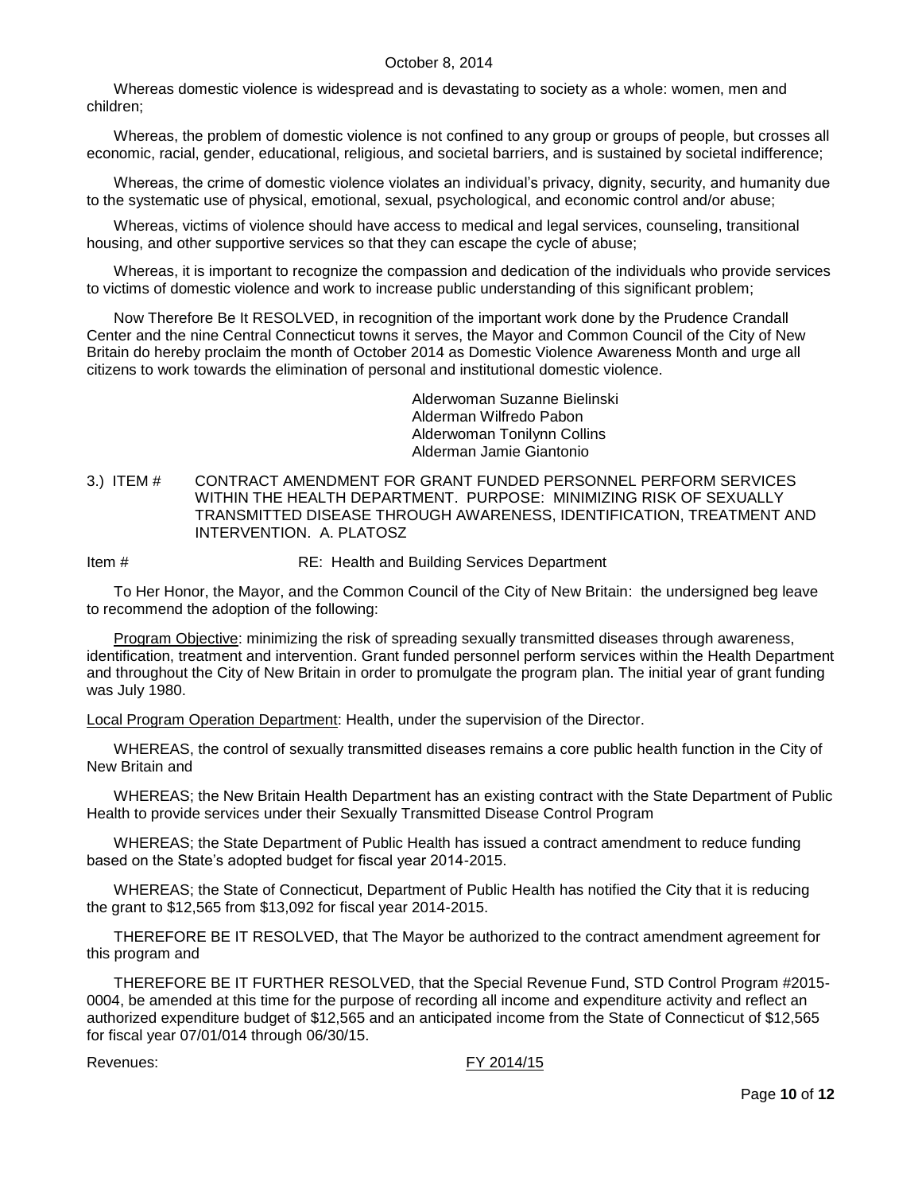Whereas domestic violence is widespread and is devastating to society as a whole: women, men and children;

Whereas, the problem of domestic violence is not confined to any group or groups of people, but crosses all economic, racial, gender, educational, religious, and societal barriers, and is sustained by societal indifference;

Whereas, the crime of domestic violence violates an individual's privacy, dignity, security, and humanity due to the systematic use of physical, emotional, sexual, psychological, and economic control and/or abuse;

Whereas, victims of violence should have access to medical and legal services, counseling, transitional housing, and other supportive services so that they can escape the cycle of abuse;

Whereas, it is important to recognize the compassion and dedication of the individuals who provide services to victims of domestic violence and work to increase public understanding of this significant problem;

Now Therefore Be It RESOLVED, in recognition of the important work done by the Prudence Crandall Center and the nine Central Connecticut towns it serves, the Mayor and Common Council of the City of New Britain do hereby proclaim the month of October 2014 as Domestic Violence Awareness Month and urge all citizens to work towards the elimination of personal and institutional domestic violence.

> Alderwoman Suzanne Bielinski Alderman Wilfredo Pabon Alderwoman Tonilynn Collins Alderman Jamie Giantonio

<span id="page-9-0"></span>3.) ITEM # CONTRACT AMENDMENT FOR GRANT FUNDED PERSONNEL PERFORM SERVICES WITHIN THE HEALTH DEPARTMENT. PURPOSE: MINIMIZING RISK OF SEXUALLY TRANSMITTED DISEASE THROUGH AWARENESS, IDENTIFICATION, TREATMENT AND INTERVENTION. A. PLATOSZ

Item # RE: Health and Building Services Department

To Her Honor, the Mayor, and the Common Council of the City of New Britain: the undersigned beg leave to recommend the adoption of the following:

Program Objective: minimizing the risk of spreading sexually transmitted diseases through awareness, identification, treatment and intervention. Grant funded personnel perform services within the Health Department and throughout the City of New Britain in order to promulgate the program plan. The initial year of grant funding was July 1980.

Local Program Operation Department: Health, under the supervision of the Director.

WHEREAS, the control of sexually transmitted diseases remains a core public health function in the City of New Britain and

WHEREAS; the New Britain Health Department has an existing contract with the State Department of Public Health to provide services under their Sexually Transmitted Disease Control Program

WHEREAS; the State Department of Public Health has issued a contract amendment to reduce funding based on the State's adopted budget for fiscal year 2014-2015.

WHEREAS; the State of Connecticut, Department of Public Health has notified the City that it is reducing the grant to \$12,565 from \$13,092 for fiscal year 2014-2015.

THEREFORE BE IT RESOLVED, that The Mayor be authorized to the contract amendment agreement for this program and

THEREFORE BE IT FURTHER RESOLVED, that the Special Revenue Fund, STD Control Program #2015- 0004, be amended at this time for the purpose of recording all income and expenditure activity and reflect an authorized expenditure budget of \$12,565 and an anticipated income from the State of Connecticut of \$12,565 for fiscal year 07/01/014 through 06/30/15.

Revenues: FY 2014/15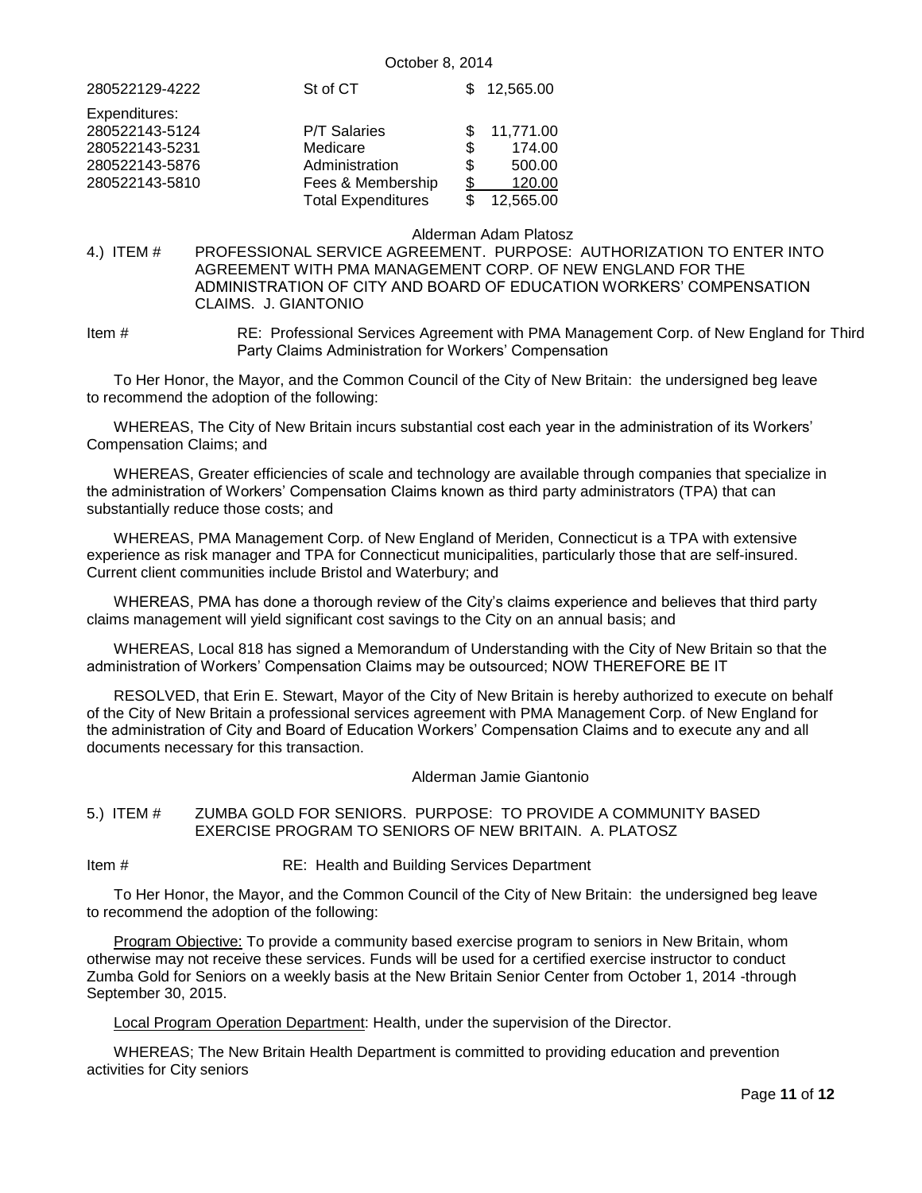| 280522129-4222                   | St of CT                                       |           | 12.565.00           |
|----------------------------------|------------------------------------------------|-----------|---------------------|
| Expenditures:<br>280522143-5124  | <b>P/T Salaries</b>                            |           | 11,771.00           |
| 280522143-5231<br>280522143-5876 | Medicare<br>Administration                     | \$<br>\$. | 174.00<br>500.00    |
| 280522143-5810                   | Fees & Membership<br><b>Total Expenditures</b> | \$        | 120.00<br>12,565.00 |

#### Alderman Adam Platosz

<span id="page-10-0"></span>4.) ITEM # PROFESSIONAL SERVICE AGREEMENT. PURPOSE: AUTHORIZATION TO ENTER INTO AGREEMENT WITH PMA MANAGEMENT CORP. OF NEW ENGLAND FOR THE ADMINISTRATION OF CITY AND BOARD OF EDUCATION WORKERS' COMPENSATION CLAIMS. J. GIANTONIO

Item # RE: Professional Services Agreement with PMA Management Corp. of New England for Third Party Claims Administration for Workers' Compensation

To Her Honor, the Mayor, and the Common Council of the City of New Britain: the undersigned beg leave to recommend the adoption of the following:

WHEREAS, The City of New Britain incurs substantial cost each year in the administration of its Workers' Compensation Claims; and

WHEREAS, Greater efficiencies of scale and technology are available through companies that specialize in the administration of Workers' Compensation Claims known as third party administrators (TPA) that can substantially reduce those costs; and

WHEREAS, PMA Management Corp. of New England of Meriden, Connecticut is a TPA with extensive experience as risk manager and TPA for Connecticut municipalities, particularly those that are self-insured. Current client communities include Bristol and Waterbury; and

WHEREAS, PMA has done a thorough review of the City's claims experience and believes that third party claims management will yield significant cost savings to the City on an annual basis; and

WHEREAS, Local 818 has signed a Memorandum of Understanding with the City of New Britain so that the administration of Workers' Compensation Claims may be outsourced; NOW THEREFORE BE IT

RESOLVED, that Erin E. Stewart, Mayor of the City of New Britain is hereby authorized to execute on behalf of the City of New Britain a professional services agreement with PMA Management Corp. of New England for the administration of City and Board of Education Workers' Compensation Claims and to execute any and all documents necessary for this transaction.

#### Alderman Jamie Giantonio

### <span id="page-10-1"></span>5.) ITEM # ZUMBA GOLD FOR SENIORS. PURPOSE: TO PROVIDE A COMMUNITY BASED EXERCISE PROGRAM TO SENIORS OF NEW BRITAIN. A. PLATOSZ

Item # RE: Health and Building Services Department

To Her Honor, the Mayor, and the Common Council of the City of New Britain: the undersigned beg leave to recommend the adoption of the following:

Program Objective: To provide a community based exercise program to seniors in New Britain, whom otherwise may not receive these services. Funds will be used for a certified exercise instructor to conduct Zumba Gold for Seniors on a weekly basis at the New Britain Senior Center from October 1, 2014 -through September 30, 2015.

Local Program Operation Department: Health, under the supervision of the Director.

WHEREAS; The New Britain Health Department is committed to providing education and prevention activities for City seniors